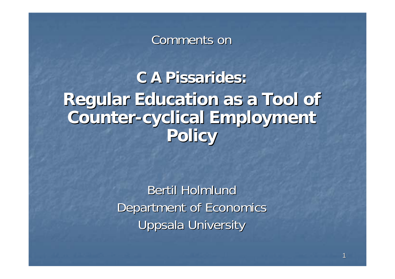#### Comments on

**C A Pissarides: C A Pissarides:Regular Education as a Tool of Regular Education as a Tool of Counter Counter-cyclical Employment cyclical Employment Policy**

> Bertil Holmlund Department of Economics Uppsala University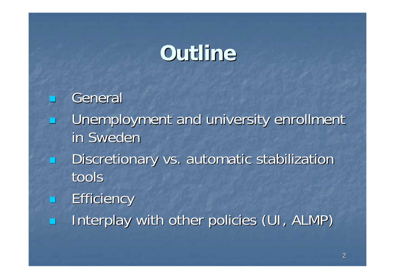# **Outline Outline**

**General** Unemployment and university enrollment in Sweden Discretionary vs. automatic stabilization tools**Efficiency** Interplay with other policies (UI, ALMP)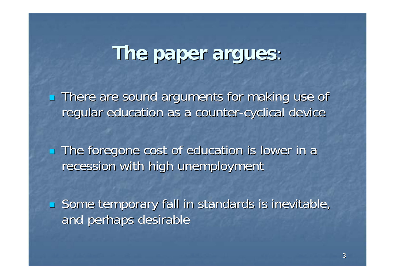#### **The paper argues The paper argues** .<br>ا

 $\mathbb{R}^2$ **There are sound arguments for making use of There are sound arguments for making use of** regular education as a counter-cyclical device

 $\mathbb{R}^2$ **The foregone cost of education is lower in a** recession with high unemployment

 $\mathbb{R}^2$ **Some temporary fall in standards is inevitable,** and perhaps desirable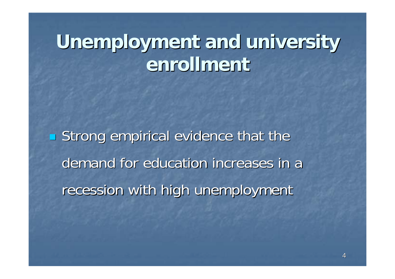# **Unemployment and university Unemployment and university enrollment enrollment**

**Strong empirical evidence that the Strong empirical evidence that the** demand for education increases in a recession with high unemployment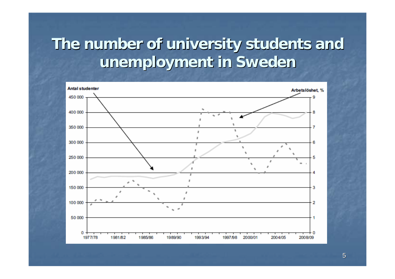### The number of university students and **unemployment in Sweden unemployment in Sweden**

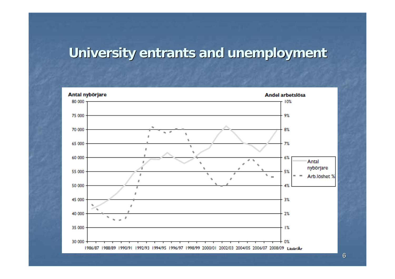#### **University entrants and unemployment**



6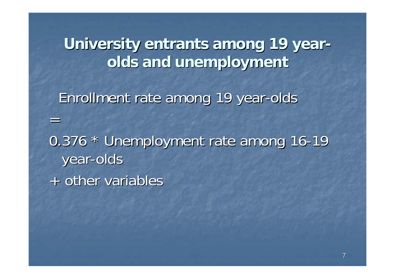**University entrants among 19 yearolds and unemployment olds and unemployment** Enrollment rate among 19 year-olds =0.376 \* Unemployment rate among 16-19 year -olds + other variables + other variables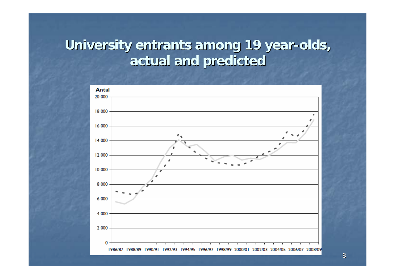#### **University entrants among 19 year-olds, actual and predicted actual and predicted**



8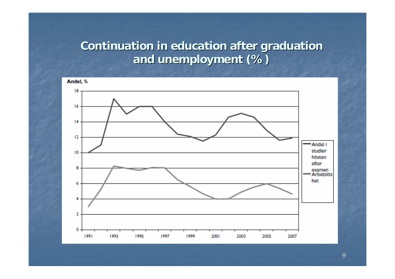#### **Continuation in education after graduation and unemployment (%) and unemployment (%)**

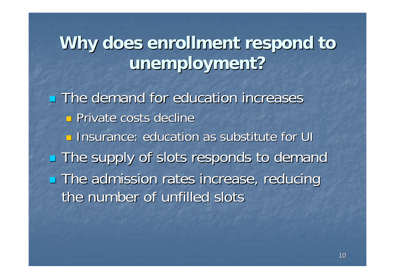## Why does enrollment respond to **unemployment unemployment ?**

 $\blacksquare$  The demand for education increases **Private costs decline <u>Insurance: education as substitute for UI</u> The supply of slots responds to demand The admission rates increase, reducing** the number of unfilled slots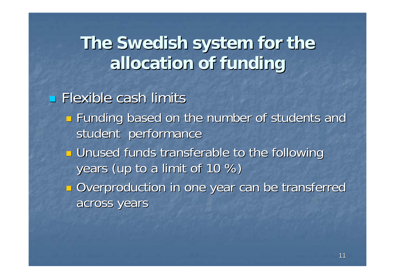## The Swedish system for the **allocation allocation of funding funding**

 $\blacksquare$  Flexible cash limits

- $\mathbb{R}^2$ **Example 5 Funding based on the number of students and Funding based on the number of students and** student performance
- T. **<u>E</u>** Unused funds transferable to the following years (up to a limit of  $10\%$ )
- $\mathbb{R}^2$ **Overproduction in one year can be transferred** across years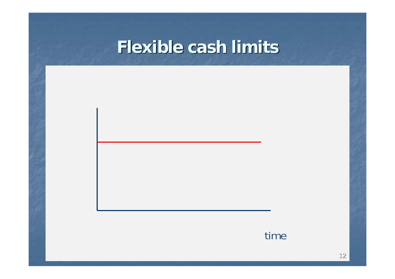### **Flexible cash limits Flexible cash limits**

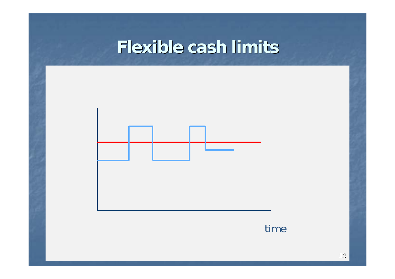### **Flexible cash limits Flexible cash limits**



#### time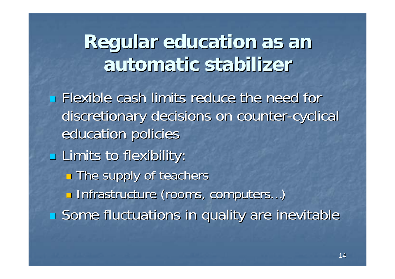## **Regular education as an Regular education as an automatic stabilizer automatic stabilizer**

 $\blacksquare$  Flexible cash limits reduce the need for discretionary decisions on counter-cyclical education policies **Limits to flexibility:** T. **The supply of teachers**  $\mathbb{R}^2$ ■ Infrastructure (rooms, computers...) **Some fluctuations in quality are inevitable**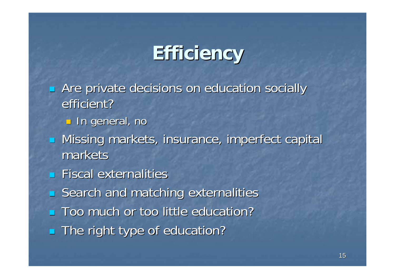## **Efficiency Efficiency**

- p. Are private decisions on education socially efficient?
	- $\textcolor{orange}\blacksquare$  In general, no
- $\blacksquare$  Missing markets, insurance, imperfect capital markets
- $\blacksquare$  Fiscal externalities
- $\mathbb{R}^2$ Search and matching externalities
- **Too much or too little education?**
- **The right type of education?**